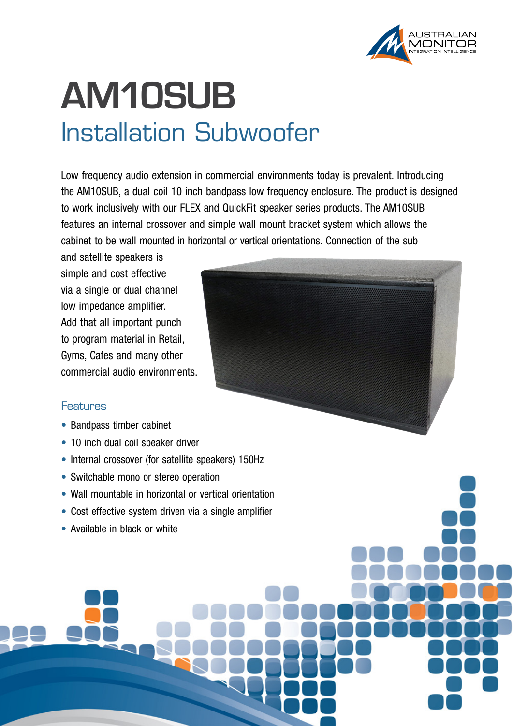

## **AM10SUB** Installation Subwoofer

Low frequency audio extension in commercial environments today is prevalent. Introducing the AM10SUB, a dual coil 10 inch bandpass low frequency enclosure. The product is designed to work inclusively with our FLEX and QuickFit speaker series products. The AM10SUB features an internal crossover and simple wall mount bracket system which allows the cabinet to be wall mounted in horizontal or vertical orientations. Connection of the sub

and satellite speakers is simple and cost effective via a single or dual channel low impedance amplifier. Add that all important punch to program material in Retail, Gyms, Cafes and many other commercial audio environments.

## Features

- Bandpass timber cabinet
- 10 inch dual coil speaker driver
- Internal crossover (for satellite speakers) 150Hz
- Switchable mono or stereo operation
- Wall mountable in horizontal or vertical orientation
- Cost effective system driven via a single amplifier
- Available in black or white